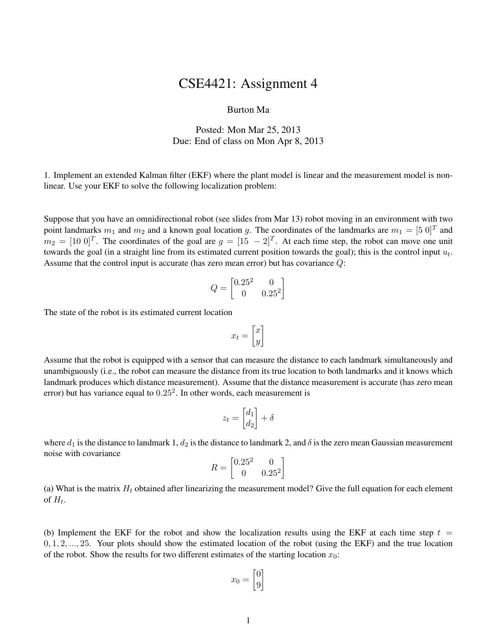## CSE4421: Assignment 4

## Burton Ma

## Posted: Mon Mar 25, 2013 Due: End of class on Mon Apr 8, 2013

1. Implement an extended Kalman filter (EKF) where the plant model is linear and the measurement model is nonlinear. Use your EKF to solve the following localization problem:

Suppose that you have an omnidirectional robot (see slides from Mar 13) robot moving in an environment with two point landmarks  $m_1$  and  $m_2$  and a known goal location g. The coordinates of the landmarks are  $m_1 = [5 \ 0]^T$  and  $m_2 = [10\ 0]^T$ . The coordinates of the goal are  $g = [15\ -2]^T$ . At each time step, the robot can move one unit towards the goal (in a straight line from its estimated current position towards the goal); this is the control input  $u_t$ . Assume that the control input is accurate (has zero mean error) but has covariance Q:

$$
Q = \begin{bmatrix} 0.25^2 & 0\\ 0 & 0.25^2 \end{bmatrix}
$$

The state of the robot is its estimated current location

$$
x_t = \begin{bmatrix} x \\ y \end{bmatrix}
$$

Assume that the robot is equipped with a sensor that can measure the distance to each landmark simultaneously and unambiguously (i.e., the robot can measure the distance from its true location to both landmarks and it knows which landmark produces which distance measurement). Assume that the distance measurement is accurate (has zero mean error) but has variance equal to  $0.25<sup>2</sup>$ . In other words, each measurement is

$$
z_t = \begin{bmatrix} d_1 \\ d_2 \end{bmatrix} + \delta
$$

where  $d_1$  is the distance to landmark 1,  $d_2$  is the distance to landmark 2, and  $\delta$  is the zero mean Gaussian measurement noise with covariance

$$
R = \begin{bmatrix} 0.25^2 & 0\\ 0 & 0.25^2 \end{bmatrix}
$$

(a) What is the matrix  $H_t$  obtained after linearizing the measurement model? Give the full equation for each element of  $H_t$ .

(b) Implement the EKF for the robot and show the localization results using the EKF at each time step  $t =$  $0, 1, 2, \ldots, 25$ . Your plots should show the estimated location of the robot (using the EKF) and the true location of the robot. Show the results for two different estimates of the starting location  $x_0$ :

$$
x_0 = \begin{bmatrix} 0 \\ 9 \end{bmatrix}
$$